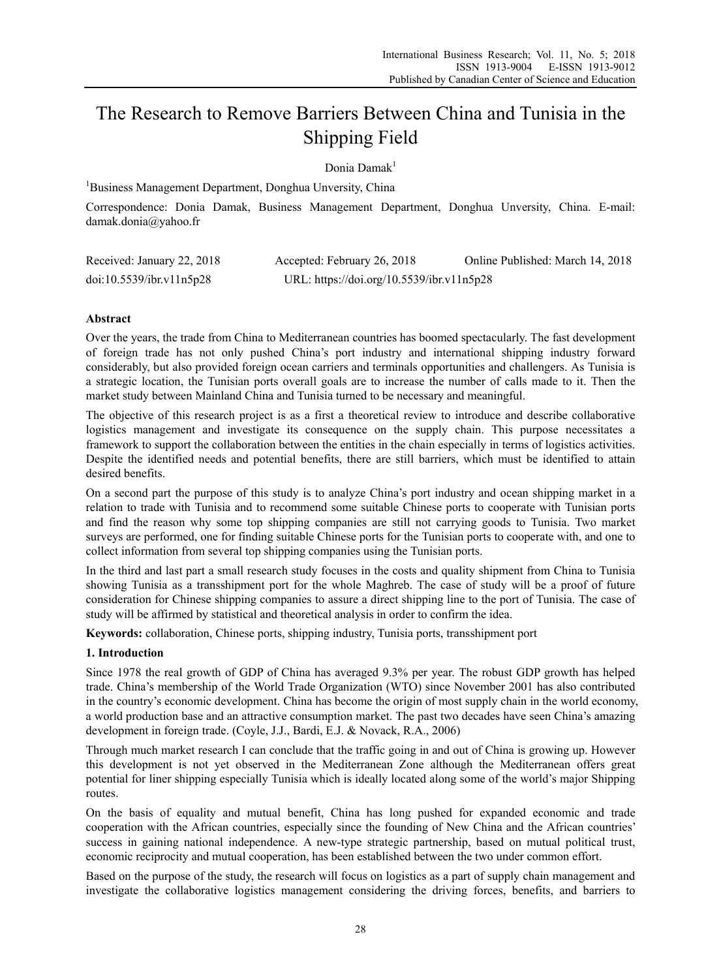# The Research to Remove Barriers Between China and Tunisia in the Shipping Field

Donia Damak<sup>1</sup>

<sup>1</sup>Business Management Department, Donghua Unversity, China

Correspondence: Donia Damak, Business Management Department, Donghua Unversity, China. E-mail: damak.donia@yahoo.fr

| Received: January 22, 2018 | Accepted: February 26, 2018               | Online Published: March 14, 2018 |
|----------------------------|-------------------------------------------|----------------------------------|
| doi:10.5539/ibr.v11n5p28   | URL: https://doi.org/10.5539/ibr.v11n5p28 |                                  |

# **Abstract**

Over the years, the trade from China to Mediterranean countries has boomed spectacularly. The fast development of foreign trade has not only pushed China's port industry and international shipping industry forward considerably, but also provided foreign ocean carriers and terminals opportunities and challengers. As Tunisia is a strategic location, the Tunisian ports overall goals are to increase the number of calls made to it. Then the market study between Mainland China and Tunisia turned to be necessary and meaningful.

The objective of this research project is as a first a theoretical review to introduce and describe collaborative logistics management and investigate its consequence on the supply chain. This purpose necessitates a framework to support the collaboration between the entities in the chain especially in terms of logistics activities. Despite the identified needs and potential benefits, there are still barriers, which must be identified to attain desired benefits.

On a second part the purpose of this study is to analyze China's port industry and ocean shipping market in a relation to trade with Tunisia and to recommend some suitable Chinese ports to cooperate with Tunisian ports and find the reason why some top shipping companies are still not carrying goods to Tunisia. Two market surveys are performed, one for finding suitable Chinese ports for the Tunisian ports to cooperate with, and one to collect information from several top shipping companies using the Tunisian ports.

In the third and last part a small research study focuses in the costs and quality shipment from China to Tunisia showing Tunisia as a transshipment port for the whole Maghreb. The case of study will be a proof of future consideration for Chinese shipping companies to assure a direct shipping line to the port of Tunisia. The case of study will be affirmed by statistical and theoretical analysis in order to confirm the idea.

**Keywords:** collaboration, Chinese ports, shipping industry, Tunisia ports, transshipment port

## **1. Introduction**

Since 1978 the real growth of GDP of China has averaged 9.3% per year. The robust GDP growth has helped trade. China's membership of the World Trade Organization (WTO) since November 2001 has also contributed in the country's economic development. China has become the origin of most supply chain in the world economy, a world production base and an attractive consumption market. The past two decades have seen China's amazing development in foreign trade. (Coyle, J.J., Bardi, E.J. & Novack, R.A., 2006)

Through much market research I can conclude that the traffic going in and out of China is growing up. However this development is not yet observed in the Mediterranean Zone although the Mediterranean offers great potential for liner shipping especially Tunisia which is ideally located along some of the world's major Shipping routes.

On the basis of equality and mutual benefit, China has long pushed for expanded economic and trade cooperation with the African countries, especially since the founding of New China and the African countries' success in gaining national independence. A new-type strategic partnership, based on mutual political trust, economic reciprocity and mutual cooperation, has been established between the two under common effort.

Based on the purpose of the study, the research will focus on logistics as a part of supply chain management and investigate the collaborative logistics management considering the driving forces, benefits, and barriers to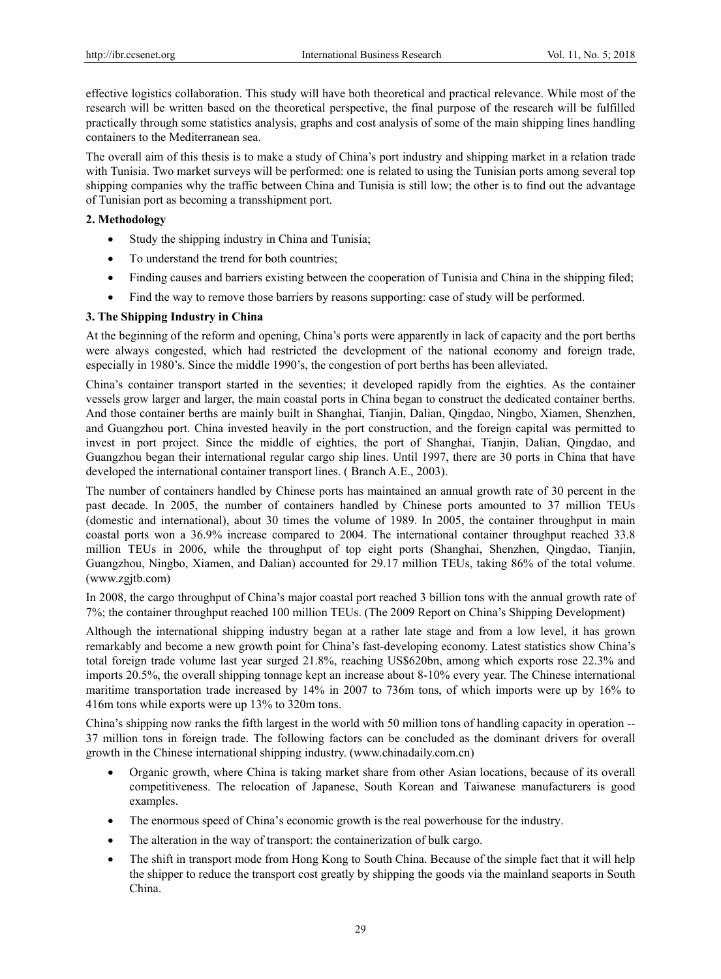effective logistics collaboration. This study will have both theoretical and practical relevance. While most of the research will be written based on the theoretical perspective, the final purpose of the research will be fulfilled practically through some statistics analysis, graphs and cost analysis of some of the main shipping lines handling containers to the Mediterranean sea.

The overall aim of this thesis is to make a study of China's port industry and shipping market in a relation trade with Tunisia. Two market surveys will be performed: one is related to using the Tunisian ports among several top shipping companies why the traffic between China and Tunisia is still low; the other is to find out the advantage of Tunisian port as becoming a transshipment port.

# **2. Methodology**

- Study the shipping industry in China and Tunisia;
- To understand the trend for both countries;
- Finding causes and barriers existing between the cooperation of Tunisia and China in the shipping filed;
- Find the way to remove those barriers by reasons supporting: case of study will be performed.

# **3. The Shipping Industry in China**

At the beginning of the reform and opening, China's ports were apparently in lack of capacity and the port berths were always congested, which had restricted the development of the national economy and foreign trade, especially in 1980's. Since the middle 1990's, the congestion of port berths has been alleviated.

China's container transport started in the seventies; it developed rapidly from the eighties. As the container vessels grow larger and larger, the main coastal ports in China began to construct the dedicated container berths. And those container berths are mainly built in Shanghai, Tianjin, Dalian, Qingdao, Ningbo, Xiamen, Shenzhen, and Guangzhou port. China invested heavily in the port construction, and the foreign capital was permitted to invest in port project. Since the middle of eighties, the port of Shanghai, Tianjin, Dalian, Qingdao, and Guangzhou began their international regular cargo ship lines. Until 1997, there are 30 ports in China that have developed the international container transport lines. ( Branch A.E., 2003).

The number of containers handled by Chinese ports has maintained an annual growth rate of 30 percent in the past decade. In 2005, the number of containers handled by Chinese ports amounted to 37 million TEUs (domestic and international), about 30 times the volume of 1989. In 2005, the container throughput in main coastal ports won a 36.9% increase compared to 2004. The international container throughput reached 33.8 million TEUs in 2006, while the throughput of top eight ports (Shanghai, Shenzhen, Qingdao, Tianjin, Guangzhou, Ningbo, Xiamen, and Dalian) accounted for 29.17 million TEUs, taking 86% of the total volume. (www.zgjtb.com)

In 2008, the cargo throughput of China's major coastal port reached 3 billion tons with the annual growth rate of 7%; the container throughput reached 100 million TEUs. (The 2009 Report on China's Shipping Development)

Although the international shipping industry began at a rather late stage and from a low level, it has grown remarkably and become a new growth point for China's fast-developing economy. Latest statistics show China's total foreign trade volume last year surged 21.8%, reaching US\$620bn, among which exports rose 22.3% and imports 20.5%, the overall shipping tonnage kept an increase about 8-10% every year. The Chinese international maritime transportation trade increased by 14% in 2007 to 736m tons, of which imports were up by 16% to 416m tons while exports were up 13% to 320m tons.

China's shipping now ranks the fifth largest in the world with 50 million tons of handling capacity in operation -- 37 million tons in foreign trade. The following factors can be concluded as the dominant drivers for overall growth in the Chinese international shipping industry. (www.chinadaily.com.cn)

- Organic growth, where China is taking market share from other Asian locations, because of its overall competitiveness. The relocation of Japanese, South Korean and Taiwanese manufacturers is good examples.
- The enormous speed of China's economic growth is the real powerhouse for the industry.
- The alteration in the way of transport: the containerization of bulk cargo.
- The shift in transport mode from Hong Kong to South China. Because of the simple fact that it will help the shipper to reduce the transport cost greatly by shipping the goods via the mainland seaports in South China.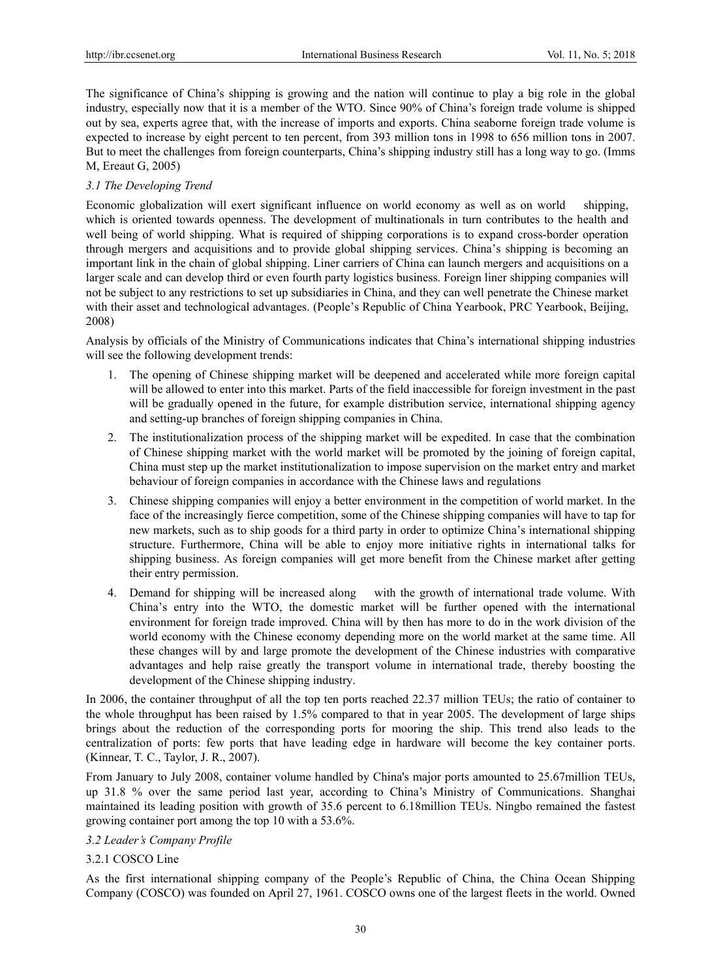The significance of China's shipping is growing and the nation will continue to play a big role in the global industry, especially now that it is a member of the WTO. Since 90% of China's foreign trade volume is shipped out by sea, experts agree that, with the increase of imports and exports. China seaborne foreign trade volume is expected to increase by eight percent to ten percent, from 393 million tons in 1998 to 656 million tons in 2007. But to meet the challenges from foreign counterparts, China's shipping industry still has a long way to go. (Imms M, Ereaut G, 2005)

# *3.1 The Developing Trend*

Economic globalization will exert significant influence on world economy as well as on world shipping, which is oriented towards openness. The development of multinationals in turn contributes to the health and well being of world shipping. What is required of shipping corporations is to expand cross-border operation through mergers and acquisitions and to provide global shipping services. China's shipping is becoming an important link in the chain of global shipping. Liner carriers of China can launch mergers and acquisitions on a larger scale and can develop third or even fourth party logistics business. Foreign liner shipping companies will not be subject to any restrictions to set up subsidiaries in China, and they can well penetrate the Chinese market with their asset and technological advantages. (People's Republic of China Yearbook, PRC Yearbook, Beijing, 2008)

Analysis by officials of the Ministry of Communications indicates that China's international shipping industries will see the following development trends:

- 1. The opening of Chinese shipping market will be deepened and accelerated while more foreign capital will be allowed to enter into this market. Parts of the field inaccessible for foreign investment in the past will be gradually opened in the future, for example distribution service, international shipping agency and setting-up branches of foreign shipping companies in China.
- 2. The institutionalization process of the shipping market will be expedited. In case that the combination of Chinese shipping market with the world market will be promoted by the joining of foreign capital, China must step up the market institutionalization to impose supervision on the market entry and market behaviour of foreign companies in accordance with the Chinese laws and regulations
- 3. Chinese shipping companies will enjoy a better environment in the competition of world market. In the face of the increasingly fierce competition, some of the Chinese shipping companies will have to tap for new markets, such as to ship goods for a third party in order to optimize China's international shipping structure. Furthermore, China will be able to enjoy more initiative rights in international talks for shipping business. As foreign companies will get more benefit from the Chinese market after getting their entry permission.
- 4. Demand for shipping will be increased along with the growth of international trade volume. With China's entry into the WTO, the domestic market will be further opened with the international environment for foreign trade improved. China will by then has more to do in the work division of the world economy with the Chinese economy depending more on the world market at the same time. All these changes will by and large promote the development of the Chinese industries with comparative advantages and help raise greatly the transport volume in international trade, thereby boosting the development of the Chinese shipping industry.

In 2006, the container throughput of all the top ten ports reached 22.37 million TEUs; the ratio of container to the whole throughput has been raised by 1.5% compared to that in year 2005. The development of large ships brings about the reduction of the corresponding ports for mooring the ship. This trend also leads to the centralization of ports: few ports that have leading edge in hardware will become the key container ports. (Kinnear, T. C., Taylor, J. R., 2007).

From January to July 2008, container volume handled by China's major ports amounted to 25.67million TEUs, up 31.8 % over the same period last year, according to China's Ministry of Communications. Shanghai maintained its leading position with growth of 35.6 percent to 6.18million TEUs. Ningbo remained the fastest growing container port among the top 10 with a 53.6%.

# *3.2 Leader's Company Profile*

## 3.2.1 COSCO Line

As the first international shipping company of the People's Republic of China, the China Ocean Shipping Company (COSCO) was founded on April 27, 1961. COSCO owns one of the largest fleets in the world. Owned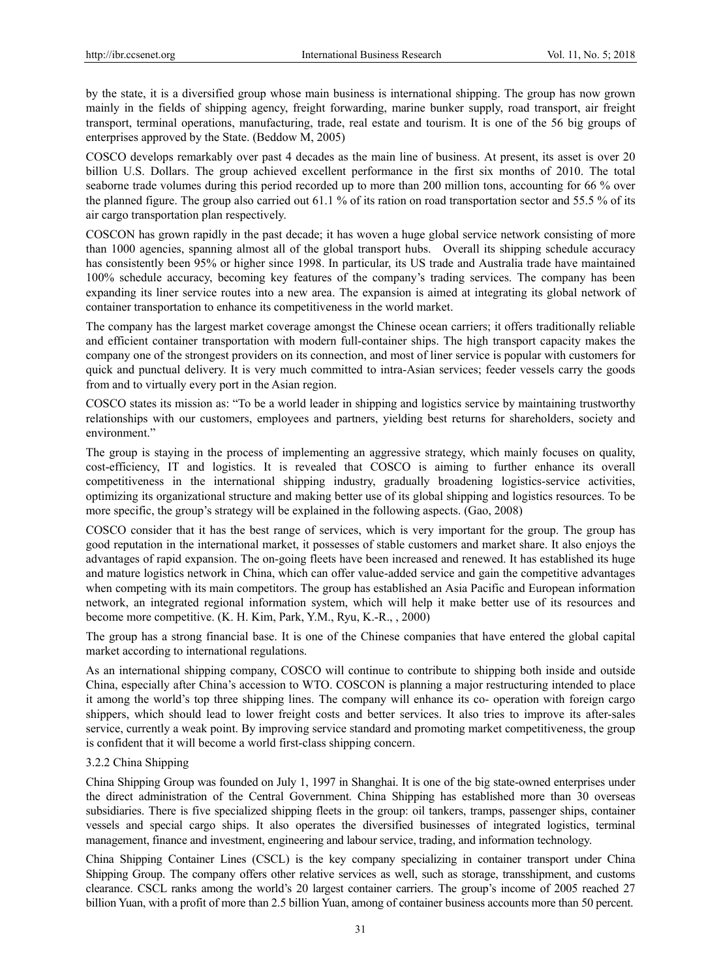by the state, it is a diversified group whose main business is international shipping. The group has now grown mainly in the fields of shipping agency, freight forwarding, marine bunker supply, road transport, air freight transport, terminal operations, manufacturing, trade, real estate and tourism. It is one of the 56 big groups of enterprises approved by the State. (Beddow M, 2005)

COSCO develops remarkably over past 4 decades as the main line of business. At present, its asset is over 20 billion U.S. Dollars. The group achieved excellent performance in the first six months of 2010. The total seaborne trade volumes during this period recorded up to more than 200 million tons, accounting for 66 % over the planned figure. The group also carried out 61.1 % of its ration on road transportation sector and 55.5 % of its air cargo transportation plan respectively.

COSCON has grown rapidly in the past decade; it has woven a huge global service network consisting of more than 1000 agencies, spanning almost all of the global transport hubs. Overall its shipping schedule accuracy has consistently been 95% or higher since 1998. In particular, its US trade and Australia trade have maintained 100% schedule accuracy, becoming key features of the company's trading services. The company has been expanding its liner service routes into a new area. The expansion is aimed at integrating its global network of container transportation to enhance its competitiveness in the world market.

The company has the largest market coverage amongst the Chinese ocean carriers; it offers traditionally reliable and efficient container transportation with modern full-container ships. The high transport capacity makes the company one of the strongest providers on its connection, and most of liner service is popular with customers for quick and punctual delivery. It is very much committed to intra-Asian services; feeder vessels carry the goods from and to virtually every port in the Asian region.

COSCO states its mission as: "To be a world leader in shipping and logistics service by maintaining trustworthy relationships with our customers, employees and partners, yielding best returns for shareholders, society and environment."

The group is staying in the process of implementing an aggressive strategy, which mainly focuses on quality, cost-efficiency, IT and logistics. It is revealed that COSCO is aiming to further enhance its overall competitiveness in the international shipping industry, gradually broadening logistics-service activities, optimizing its organizational structure and making better use of its global shipping and logistics resources. To be more specific, the group's strategy will be explained in the following aspects. (Gao, 2008)

COSCO consider that it has the best range of services, which is very important for the group. The group has good reputation in the international market, it possesses of stable customers and market share. It also enjoys the advantages of rapid expansion. The on-going fleets have been increased and renewed. It has established its huge and mature logistics network in China, which can offer value-added service and gain the competitive advantages when competing with its main competitors. The group has established an Asia Pacific and European information network, an integrated regional information system, which will help it make better use of its resources and become more competitive. (K. H. Kim, Park, Y.M., Ryu, K.-R., , 2000)

The group has a strong financial base. It is one of the Chinese companies that have entered the global capital market according to international regulations.

As an international shipping company, COSCO will continue to contribute to shipping both inside and outside China, especially after China's accession to WTO. COSCON is planning a major restructuring intended to place it among the world's top three shipping lines. The company will enhance its co- operation with foreign cargo shippers, which should lead to lower freight costs and better services. It also tries to improve its after-sales service, currently a weak point. By improving service standard and promoting market competitiveness, the group is confident that it will become a world first-class shipping concern.

#### 3.2.2 China Shipping

China Shipping Group was founded on July 1, 1997 in Shanghai. It is one of the big state-owned enterprises under the direct administration of the Central Government. China Shipping has established more than 30 overseas subsidiaries. There is five specialized shipping fleets in the group: oil tankers, tramps, passenger ships, container vessels and special cargo ships. It also operates the diversified businesses of integrated logistics, terminal management, finance and investment, engineering and labour service, trading, and information technology.

China Shipping Container Lines (CSCL) is the key company specializing in container transport under China Shipping Group. The company offers other relative services as well, such as storage, transshipment, and customs clearance. CSCL ranks among the world's 20 largest container carriers. The group's income of 2005 reached 27 billion Yuan, with a profit of more than 2.5 billion Yuan, among of container business accounts more than 50 percent.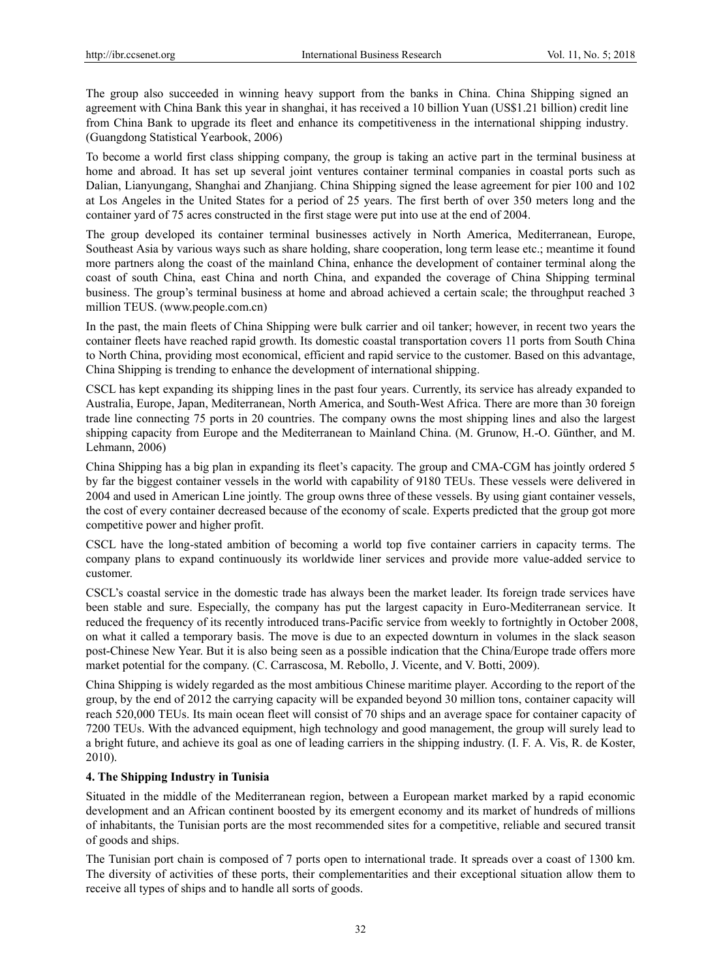The group also succeeded in winning heavy support from the banks in China. China Shipping signed an agreement with China Bank this year in shanghai, it has received a 10 billion Yuan (US\$1.21 billion) credit line from China Bank to upgrade its fleet and enhance its competitiveness in the international shipping industry. (Guangdong Statistical Yearbook, 2006)

To become a world first class shipping company, the group is taking an active part in the terminal business at home and abroad. It has set up several joint ventures container terminal companies in coastal ports such as Dalian, Lianyungang, Shanghai and Zhanjiang. China Shipping signed the lease agreement for pier 100 and 102 at Los Angeles in the United States for a period of 25 years. The first berth of over 350 meters long and the container yard of 75 acres constructed in the first stage were put into use at the end of 2004.

The group developed its container terminal businesses actively in North America, Mediterranean, Europe, Southeast Asia by various ways such as share holding, share cooperation, long term lease etc.; meantime it found more partners along the coast of the mainland China, enhance the development of container terminal along the coast of south China, east China and north China, and expanded the coverage of China Shipping terminal business. The group's terminal business at home and abroad achieved a certain scale; the throughput reached 3 million TEUS. (www.people.com.cn)

In the past, the main fleets of China Shipping were bulk carrier and oil tanker; however, in recent two years the container fleets have reached rapid growth. Its domestic coastal transportation covers 11 ports from South China to North China, providing most economical, efficient and rapid service to the customer. Based on this advantage, China Shipping is trending to enhance the development of international shipping.

CSCL has kept expanding its shipping lines in the past four years. Currently, its service has already expanded to Australia, Europe, Japan, Mediterranean, North America, and South-West Africa. There are more than 30 foreign trade line connecting 75 ports in 20 countries. The company owns the most shipping lines and also the largest shipping capacity from Europe and the Mediterranean to Mainland China. (M. Grunow, H.-O. Günther, and M. Lehmann, 2006)

China Shipping has a big plan in expanding its fleet's capacity. The group and CMA-CGM has jointly ordered 5 by far the biggest container vessels in the world with capability of 9180 TEUs. These vessels were delivered in 2004 and used in American Line jointly. The group owns three of these vessels. By using giant container vessels, the cost of every container decreased because of the economy of scale. Experts predicted that the group got more competitive power and higher profit.

CSCL have the long-stated ambition of becoming a world top five container carriers in capacity terms. The company plans to expand continuously its worldwide liner services and provide more value-added service to customer.

CSCL's coastal service in the domestic trade has always been the market leader. Its foreign trade services have been stable and sure. Especially, the company has put the largest capacity in Euro-Mediterranean service. It reduced the frequency of its recently introduced trans-Pacific service from weekly to fortnightly in October 2008, on what it called a temporary basis. The move is due to an expected downturn in volumes in the slack season post-Chinese New Year. But it is also being seen as a possible indication that the China/Europe trade offers more market potential for the company. (C. Carrascosa, M. Rebollo, J. Vicente, and V. Botti, 2009).

China Shipping is widely regarded as the most ambitious Chinese maritime player. According to the report of the group, by the end of 2012 the carrying capacity will be expanded beyond 30 million tons, container capacity will reach 520,000 TEUs. Its main ocean fleet will consist of 70 ships and an average space for container capacity of 7200 TEUs. With the advanced equipment, high technology and good management, the group will surely lead to a bright future, and achieve its goal as one of leading carriers in the shipping industry. (I. F. A. Vis, R. de Koster, 2010).

# **4. The Shipping Industry in Tunisia**

Situated in the middle of the Mediterranean region, between a European market marked by a rapid economic development and an African continent boosted by its emergent economy and its market of hundreds of millions of inhabitants, the Tunisian ports are the most recommended sites for a competitive, reliable and secured transit of goods and ships.

The Tunisian port chain is composed of 7 ports open to international trade. It spreads over a coast of 1300 km. The diversity of activities of these ports, their complementarities and their exceptional situation allow them to receive all types of ships and to handle all sorts of goods.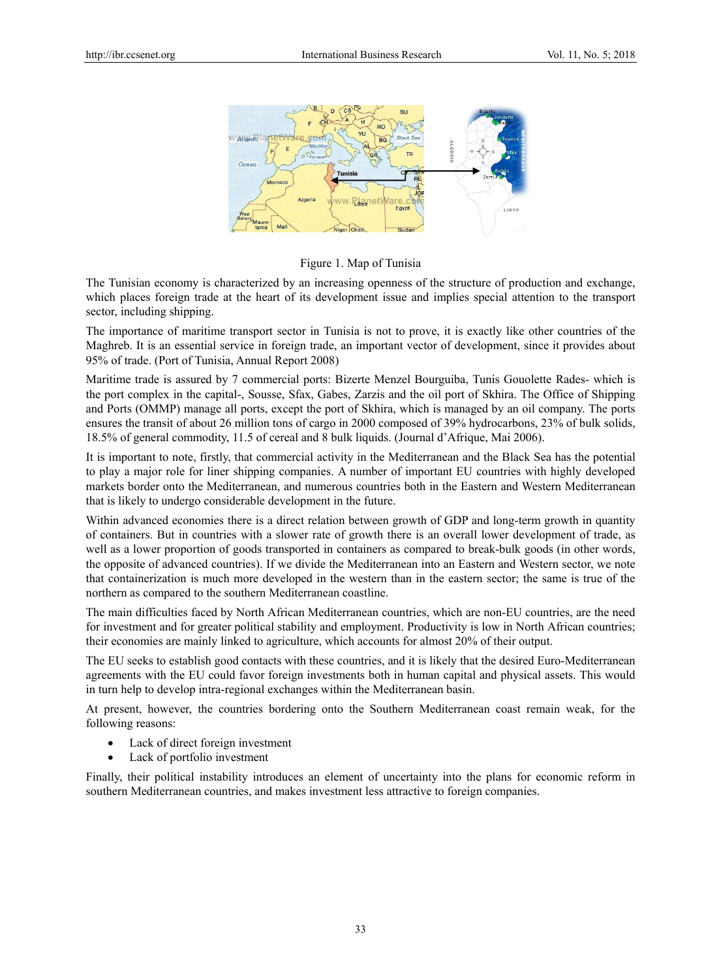

Figure 1. Map of Tunisia

The Tunisian economy is characterized by an increasing openness of the structure of production and exchange, which places foreign trade at the heart of its development issue and implies special attention to the transport sector, including shipping.

The importance of maritime transport sector in Tunisia is not to prove, it is exactly like other countries of the Maghreb. It is an essential service in foreign trade, an important vector of development, since it provides about 95% of trade. (Port of Tunisia, Annual Report 2008)

Maritime trade is assured by 7 commercial ports: Bizerte Menzel Bourguiba, Tunis Gouolette Rades- which is the port complex in the capital-, Sousse, Sfax, Gabes, Zarzis and the oil port of Skhira. The Office of Shipping and Ports (OMMP) manage all ports, except the port of Skhira, which is managed by an oil company. The ports ensures the transit of about 26 million tons of cargo in 2000 composed of 39% hydrocarbons, 23% of bulk solids, 18.5% of general commodity, 11.5 of cereal and 8 bulk liquids. (Journal d'Afrique, Mai 2006).

It is important to note, firstly, that commercial activity in the Mediterranean and the Black Sea has the potential to play a major role for liner shipping companies. A number of important EU countries with highly developed markets border onto the Mediterranean, and numerous countries both in the Eastern and Western Mediterranean that is likely to undergo considerable development in the future.

Within advanced economies there is a direct relation between growth of GDP and long-term growth in quantity of containers. But in countries with a slower rate of growth there is an overall lower development of trade, as well as a lower proportion of goods transported in containers as compared to break-bulk goods (in other words, the opposite of advanced countries). If we divide the Mediterranean into an Eastern and Western sector, we note that containerization is much more developed in the western than in the eastern sector; the same is true of the northern as compared to the southern Mediterranean coastline.

The main difficulties faced by North African Mediterranean countries, which are non-EU countries, are the need for investment and for greater political stability and employment. Productivity is low in North African countries; their economies are mainly linked to agriculture, which accounts for almost 20% of their output.

The EU seeks to establish good contacts with these countries, and it is likely that the desired Euro-Mediterranean agreements with the EU could favor foreign investments both in human capital and physical assets. This would in turn help to develop intra-regional exchanges within the Mediterranean basin.

At present, however, the countries bordering onto the Southern Mediterranean coast remain weak, for the following reasons:

- Lack of direct foreign investment
- Lack of portfolio investment

Finally, their political instability introduces an element of uncertainty into the plans for economic reform in southern Mediterranean countries, and makes investment less attractive to foreign companies.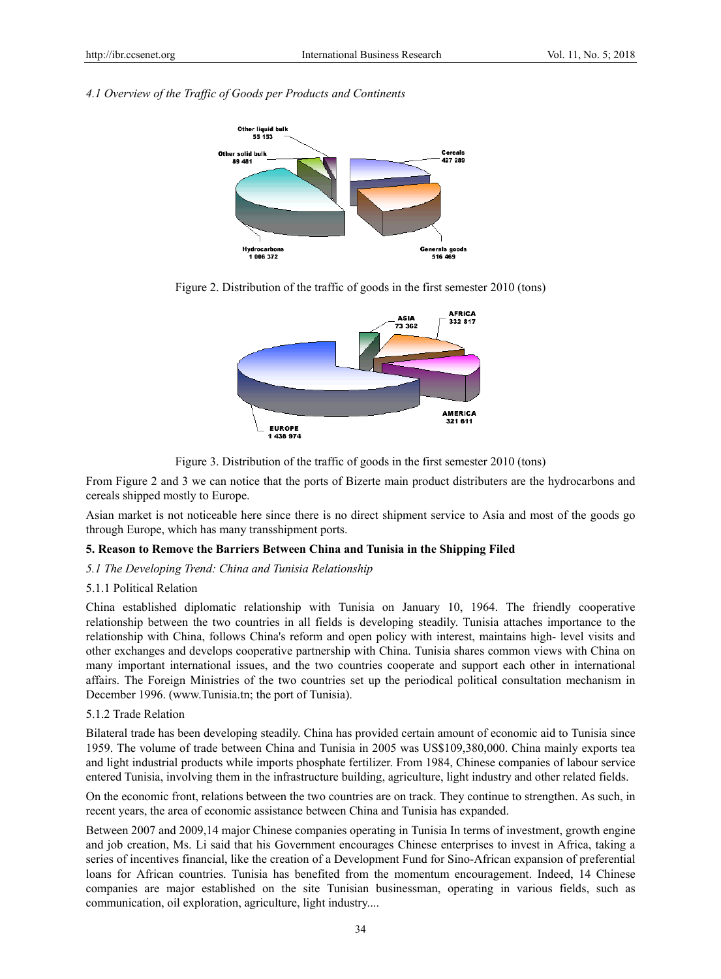#### *4.1 Overview of the Traffic of Goods per Products and Continents*



Figure 2. Distribution of the traffic of goods in the first semester 2010 (tons)





From Figure 2 and 3 we can notice that the ports of Bizerte main product distributers are the hydrocarbons and cereals shipped mostly to Europe.

Asian market is not noticeable here since there is no direct shipment service to Asia and most of the goods go through Europe, which has many transshipment ports.

## **5. Reason to Remove the Barriers Between China and Tunisia in the Shipping Filed**

#### *5.1 The Developing Trend: China and Tunisia Relationship*

#### 5.1.1 Political Relation

China established diplomatic relationship with Tunisia on January 10, 1964. The friendly cooperative relationship between the two countries in all fields is developing steadily. Tunisia attaches importance to the relationship with China, follows China's reform and open policy with interest, maintains high- level visits and other exchanges and develops cooperative partnership with China. Tunisia shares common views with China on many important international issues, and the two countries cooperate and support each other in international affairs. The Foreign Ministries of the two countries set up the periodical political consultation mechanism in December 1996. (www.Tunisia.tn; the port of Tunisia).

#### 5.1.2 Trade Relation

Bilateral trade has been developing steadily. China has provided certain amount of economic aid to Tunisia since 1959. The volume of trade between China and Tunisia in 2005 was US\$109,380,000. China mainly exports tea and light industrial products while imports phosphate fertilizer. From 1984, Chinese companies of labour service entered Tunisia, involving them in the infrastructure building, agriculture, light industry and other related fields.

On the economic front, relations between the two countries are on track. They continue to strengthen. As such, in recent years, the area of economic assistance between China and Tunisia has expanded.

Between 2007 and 2009,14 major Chinese companies operating in Tunisia In terms of investment, growth engine and job creation, Ms. Li said that his Government encourages Chinese enterprises to invest in Africa, taking a series of incentives financial, like the creation of a Development Fund for Sino-African expansion of preferential loans for African countries. Tunisia has benefited from the momentum encouragement. Indeed, 14 Chinese companies are major established on the site Tunisian businessman, operating in various fields, such as communication, oil exploration, agriculture, light industry....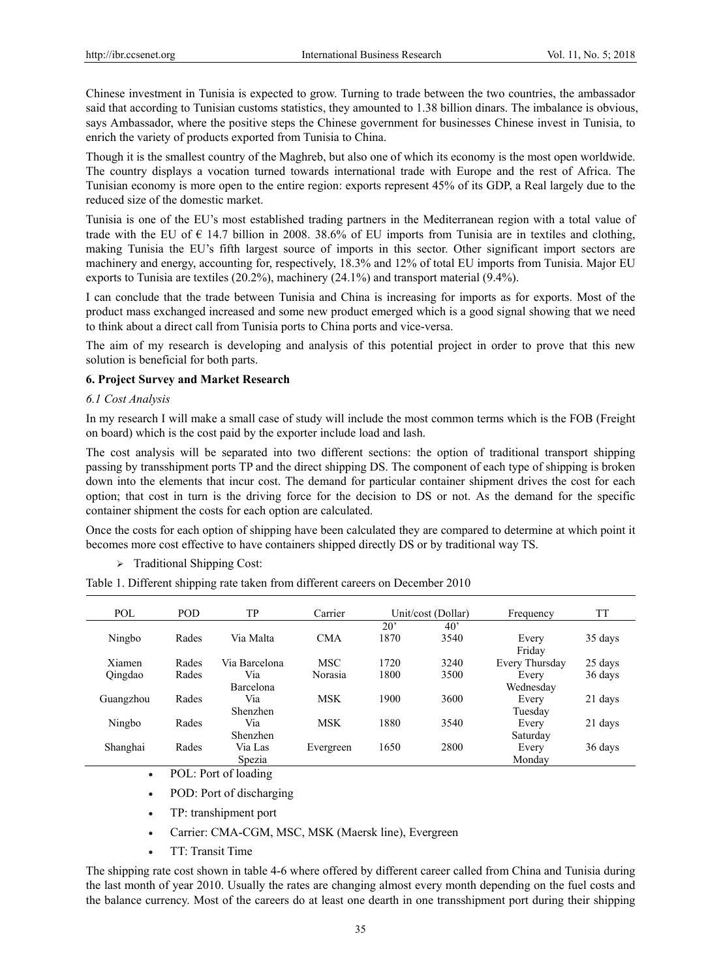Chinese investment in Tunisia is expected to grow. Turning to trade between the two countries, the ambassador said that according to Tunisian customs statistics, they amounted to 1.38 billion dinars. The imbalance is obvious, says Ambassador, where the positive steps the Chinese government for businesses Chinese invest in Tunisia, to enrich the variety of products exported from Tunisia to China.

Though it is the smallest country of the Maghreb, but also one of which its economy is the most open worldwide. The country displays a vocation turned towards international trade with Europe and the rest of Africa. The Tunisian economy is more open to the entire region: exports represent 45% of its GDP, a Real largely due to the reduced size of the domestic market.

Tunisia is one of the EU's most established trading partners in the Mediterranean region with a total value of trade with the EU of  $\epsilon$  14.7 billion in 2008. 38.6% of EU imports from Tunisia are in textiles and clothing, making Tunisia the EU's fifth largest source of imports in this sector. Other significant import sectors are machinery and energy, accounting for, respectively, 18.3% and 12% of total EU imports from Tunisia. Major EU exports to Tunisia are textiles (20.2%), machinery (24.1%) and transport material (9.4%).

I can conclude that the trade between Tunisia and China is increasing for imports as for exports. Most of the product mass exchanged increased and some new product emerged which is a good signal showing that we need to think about a direct call from Tunisia ports to China ports and vice-versa.

The aim of my research is developing and analysis of this potential project in order to prove that this new solution is beneficial for both parts.

# **6. Project Survey and Market Research**

## *6.1 Cost Analysis*

In my research I will make a small case of study will include the most common terms which is the FOB (Freight on board) which is the cost paid by the exporter include load and lash.

The cost analysis will be separated into two different sections: the option of traditional transport shipping passing by transshipment ports TP and the direct shipping DS. The component of each type of shipping is broken down into the elements that incur cost. The demand for particular container shipment drives the cost for each option; that cost in turn is the driving force for the decision to DS or not. As the demand for the specific container shipment the costs for each option are calculated.

Once the costs for each option of shipping have been calculated they are compared to determine at which point it becomes more cost effective to have containers shipped directly DS or by traditional way TS.

> Traditional Shipping Cost:

|  |  |  |  |  |  |  | Table 1. Different shipping rate taken from different careers on December 2010 |  |
|--|--|--|--|--|--|--|--------------------------------------------------------------------------------|--|
|--|--|--|--|--|--|--|--------------------------------------------------------------------------------|--|

| <b>POL</b> | <b>POD</b> | TP              | Carrier    |              | Unit/cost (Dollar) | Frequency       | TT      |
|------------|------------|-----------------|------------|--------------|--------------------|-----------------|---------|
|            |            |                 |            | $20^{\circ}$ | $40^{\circ}$       |                 |         |
| Ningbo     | Rades      | Via Malta       | <b>CMA</b> | 1870         | 3540               | Every<br>Friday | 35 days |
| Xiamen     | Rades      | Via Barcelona   | <b>MSC</b> | 1720         | 3240               | Every Thursday  | 25 days |
| Qingdao    | Rades      | Via             | Norasia    | 1800         | 3500               | Every           | 36 days |
|            |            | Barcelona       |            |              |                    | Wednesday       |         |
| Guangzhou  | Rades      | Via             | <b>MSK</b> | 1900         | 3600               | Every           | 21 days |
|            |            | Shenzhen        |            |              |                    | Tuesday         |         |
| Ningbo     | Rades      | Via             | <b>MSK</b> | 1880         | 3540               | Every           | 21 days |
|            |            | <b>Shenzhen</b> |            |              |                    | Saturday        |         |
| Shanghai   | Rades      | Via Las         | Evergreen  | 1650         | 2800               | Every           | 36 days |
|            |            | Spezia          |            |              |                    | Monday          |         |

- POL: Port of loading
- POD: Port of discharging
- TP: transhipment port
- Carrier: CMA-CGM, MSC, MSK (Maersk line), Evergreen
- TT: Transit Time

The shipping rate cost shown in table 4-6 where offered by different career called from China and Tunisia during the last month of year 2010. Usually the rates are changing almost every month depending on the fuel costs and the balance currency. Most of the careers do at least one dearth in one transshipment port during their shipping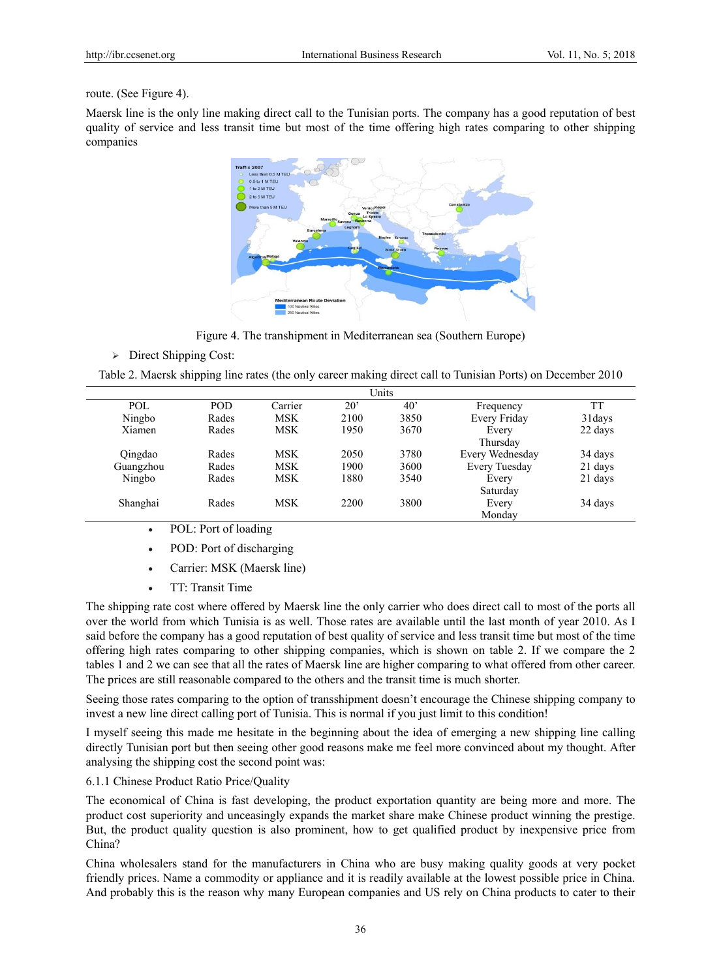route. (See Figure 4).

Maersk line is the only line making direct call to the Tunisian ports. The company has a good reputation of best quality of service and less transit time but most of the time offering high rates comparing to other shipping companies



Figure 4. The transhipment in Mediterranean sea (Southern Europe)

> Direct Shipping Cost:

Table 2. Maersk shipping line rates (the only career making direct call to Tunisian Ports) on December 2010

| Units         |            |            |              |              |                 |         |  |  |
|---------------|------------|------------|--------------|--------------|-----------------|---------|--|--|
| <b>POL</b>    | <b>POD</b> | Carrier    | $20^{\circ}$ | $40^{\circ}$ | Frequency       | TT      |  |  |
| Ningbo        | Rades      | MSK        | 2100         | 3850         | Every Friday    | 31 days |  |  |
| <b>Xiamen</b> | Rades      | <b>MSK</b> | 1950         | 3670         | Every           | 22 days |  |  |
|               |            |            |              |              | Thursday        |         |  |  |
| Qingdao       | Rades      | <b>MSK</b> | 2050         | 3780         | Every Wednesday | 34 days |  |  |
| Guangzhou     | Rades      | <b>MSK</b> | 1900         | 3600         | Every Tuesday   | 21 days |  |  |
| Ningbo        | Rades      | MSK        | 1880         | 3540         | Every           | 21 days |  |  |
|               |            |            |              |              | Saturday        |         |  |  |
| Shanghai      | Rades      | <b>MSK</b> | 2200         | 3800         | Every           | 34 days |  |  |
|               |            |            |              |              | Monday          |         |  |  |

- POL: Port of loading
- POD: Port of discharging
- Carrier: MSK (Maersk line)
- TT: Transit Time

The shipping rate cost where offered by Maersk line the only carrier who does direct call to most of the ports all over the world from which Tunisia is as well. Those rates are available until the last month of year 2010. As I said before the company has a good reputation of best quality of service and less transit time but most of the time offering high rates comparing to other shipping companies, which is shown on table 2. If we compare the 2 tables 1 and 2 we can see that all the rates of Maersk line are higher comparing to what offered from other career. The prices are still reasonable compared to the others and the transit time is much shorter.

Seeing those rates comparing to the option of transshipment doesn't encourage the Chinese shipping company to invest a new line direct calling port of Tunisia. This is normal if you just limit to this condition!

I myself seeing this made me hesitate in the beginning about the idea of emerging a new shipping line calling directly Tunisian port but then seeing other good reasons make me feel more convinced about my thought. After analysing the shipping cost the second point was:

## 6.1.1 Chinese Product Ratio Price/Quality

The economical of China is fast developing, the product exportation quantity are being more and more. The product cost superiority and unceasingly expands the market share make Chinese product winning the prestige. But, the product quality question is also prominent, how to get qualified product by inexpensive price from China?

China wholesalers stand for the manufacturers in China who are busy making quality goods at very pocket friendly prices. Name a commodity or appliance and it is readily available at the lowest possible price in China. And probably this is the reason why many European companies and US rely on China products to cater to their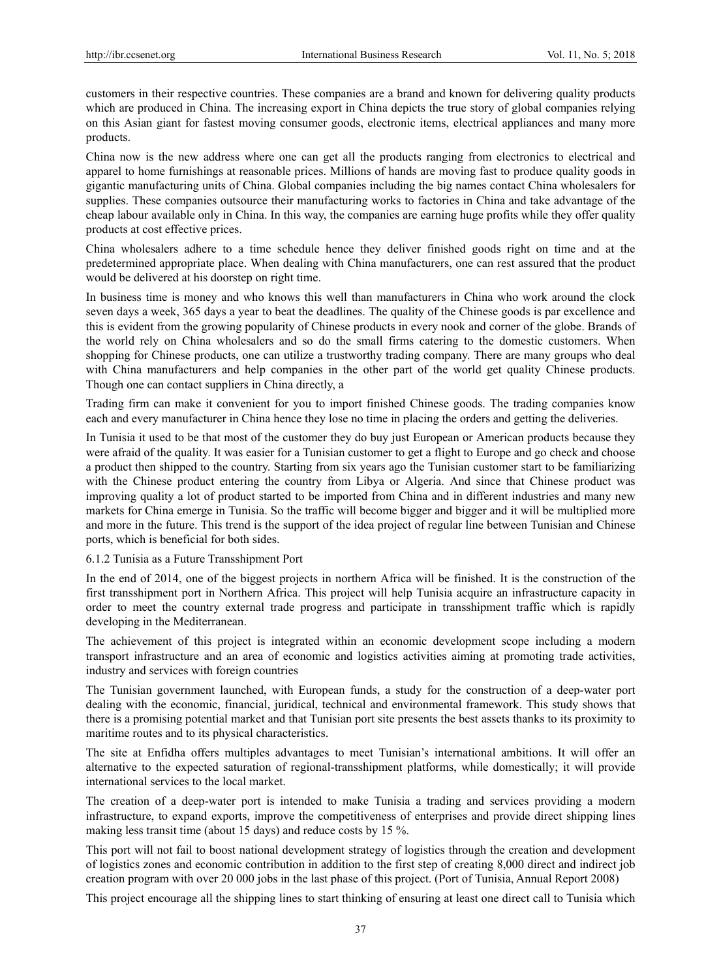customers in their respective countries. These companies are a brand and known for delivering quality products which are produced in China. The increasing export in China depicts the true story of global companies relying on this Asian giant for fastest moving consumer goods, electronic items, electrical appliances and many more products.

China now is the new address where one can get all the products ranging from electronics to electrical and apparel to home furnishings at reasonable prices. Millions of hands are moving fast to produce quality goods in gigantic manufacturing units of China. Global companies including the big names contact China wholesalers for supplies. These companies outsource their manufacturing works to factories in China and take advantage of the cheap labour available only in China. In this way, the companies are earning huge profits while they offer quality products at cost effective prices.

China wholesalers adhere to a time schedule hence they deliver finished goods right on time and at the predetermined appropriate place. When dealing with China manufacturers, one can rest assured that the product would be delivered at his doorstep on right time.

In business time is money and who knows this well than manufacturers in China who work around the clock seven days a week, 365 days a year to beat the deadlines. The quality of the Chinese goods is par excellence and this is evident from the growing popularity of Chinese products in every nook and corner of the globe. Brands of the world rely on China wholesalers and so do the small firms catering to the domestic customers. When shopping for Chinese products, one can utilize a trustworthy trading company. There are many groups who deal with China manufacturers and help companies in the other part of the world get quality Chinese products. Though one can contact suppliers in China directly, a

Trading firm can make it convenient for you to import finished Chinese goods. The trading companies know each and every manufacturer in China hence they lose no time in placing the orders and getting the deliveries.

In Tunisia it used to be that most of the customer they do buy just European or American products because they were afraid of the quality. It was easier for a Tunisian customer to get a flight to Europe and go check and choose a product then shipped to the country. Starting from six years ago the Tunisian customer start to be familiarizing with the Chinese product entering the country from Libya or Algeria. And since that Chinese product was improving quality a lot of product started to be imported from China and in different industries and many new markets for China emerge in Tunisia. So the traffic will become bigger and bigger and it will be multiplied more and more in the future. This trend is the support of the idea project of regular line between Tunisian and Chinese ports, which is beneficial for both sides.

## 6.1.2 Tunisia as a Future Transshipment Port

In the end of 2014, one of the biggest projects in northern Africa will be finished. It is the construction of the first transshipment port in Northern Africa. This project will help Tunisia acquire an infrastructure capacity in order to meet the country external trade progress and participate in transshipment traffic which is rapidly developing in the Mediterranean.

The achievement of this project is integrated within an economic development scope including a modern transport infrastructure and an area of economic and logistics activities aiming at promoting trade activities, industry and services with foreign countries

The Tunisian government launched, with European funds, a study for the construction of a deep-water port dealing with the economic, financial, juridical, technical and environmental framework. This study shows that there is a promising potential market and that Tunisian port site presents the best assets thanks to its proximity to maritime routes and to its physical characteristics.

The site at Enfidha offers multiples advantages to meet Tunisian's international ambitions. It will offer an alternative to the expected saturation of regional-transshipment platforms, while domestically; it will provide international services to the local market.

The creation of a deep-water port is intended to make Tunisia a trading and services providing a modern infrastructure, to expand exports, improve the competitiveness of enterprises and provide direct shipping lines making less transit time (about 15 days) and reduce costs by 15 %.

This port will not fail to boost national development strategy of logistics through the creation and development of logistics zones and economic contribution in addition to the first step of creating 8,000 direct and indirect job creation program with over 20 000 jobs in the last phase of this project. (Port of Tunisia, Annual Report 2008)

This project encourage all the shipping lines to start thinking of ensuring at least one direct call to Tunisia which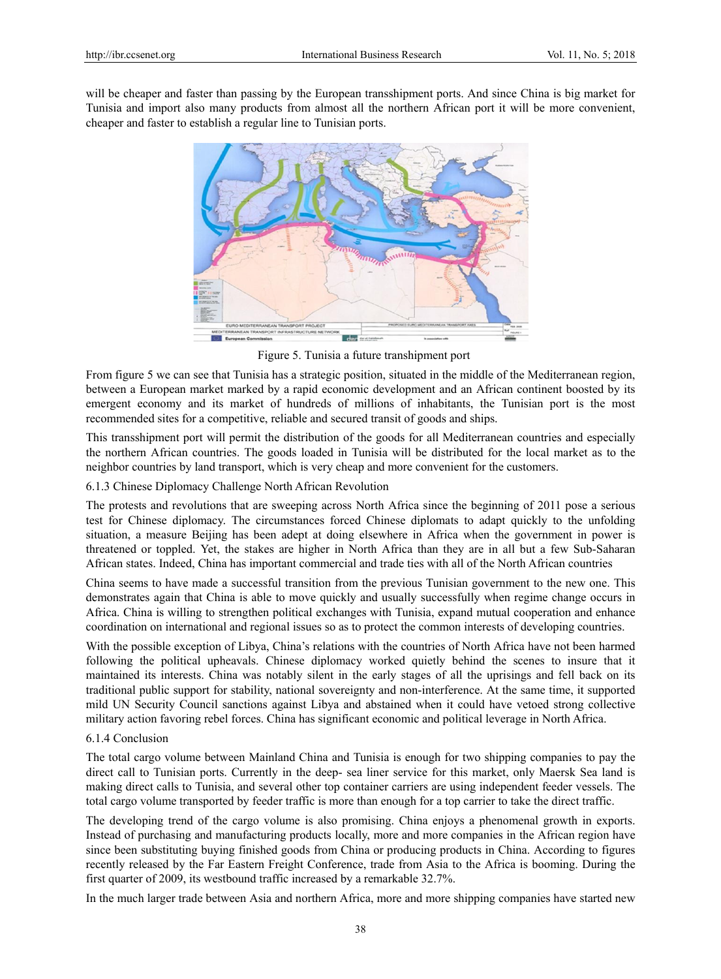will be cheaper and faster than passing by the European transshipment ports. And since China is big market for Tunisia and import also many products from almost all the northern African port it will be more convenient, cheaper and faster to establish a regular line to Tunisian ports.



Figure 5. Tunisia a future transhipment port

From figure 5 we can see that Tunisia has a strategic position, situated in the middle of the Mediterranean region, between a European market marked by a rapid economic development and an African continent boosted by its emergent economy and its market of hundreds of millions of inhabitants, the Tunisian port is the most recommended sites for a competitive, reliable and secured transit of goods and ships.

This transshipment port will permit the distribution of the goods for all Mediterranean countries and especially the northern African countries. The goods loaded in Tunisia will be distributed for the local market as to the neighbor countries by land transport, which is very cheap and more convenient for the customers.

# 6.1.3 Chinese Diplomacy Challenge North African Revolution

The protests and revolutions that are sweeping across North Africa since the beginning of 2011 pose a serious test for Chinese diplomacy. The circumstances forced Chinese diplomats to adapt quickly to the unfolding situation, a measure Beijing has been adept at doing elsewhere in Africa when the government in power is threatened or toppled. Yet, the stakes are higher in North Africa than they are in all but a few Sub-Saharan African states. Indeed, China has important commercial and trade ties with all of the North African countries

China seems to have made a successful transition from the previous Tunisian government to the new one. This demonstrates again that China is able to move quickly and usually successfully when regime change occurs in Africa. China is willing to strengthen political exchanges with Tunisia, expand mutual cooperation and enhance coordination on international and regional issues so as to protect the common interests of developing countries.

With the possible exception of Libya, China's relations with the countries of North Africa have not been harmed following the political upheavals. Chinese diplomacy worked quietly behind the scenes to insure that it maintained its interests. China was notably silent in the early stages of all the uprisings and fell back on its traditional public support for stability, national sovereignty and non-interference. At the same time, it supported mild UN Security Council sanctions against Libya and abstained when it could have vetoed strong collective military action favoring rebel forces. China has significant economic and political leverage in North Africa.

# 6.1.4 Conclusion

The total cargo volume between Mainland China and Tunisia is enough for two shipping companies to pay the direct call to Tunisian ports. Currently in the deep- sea liner service for this market, only Maersk Sea land is making direct calls to Tunisia, and several other top container carriers are using independent feeder vessels. The total cargo volume transported by feeder traffic is more than enough for a top carrier to take the direct traffic.

The developing trend of the cargo volume is also promising. China enjoys a phenomenal growth in exports. Instead of purchasing and manufacturing products locally, more and more companies in the African region have since been substituting buying finished goods from China or producing products in China. According to figures recently released by the Far Eastern Freight Conference, trade from Asia to the Africa is booming. During the first quarter of 2009, its westbound traffic increased by a remarkable 32.7%.

In the much larger trade between Asia and northern Africa, more and more shipping companies have started new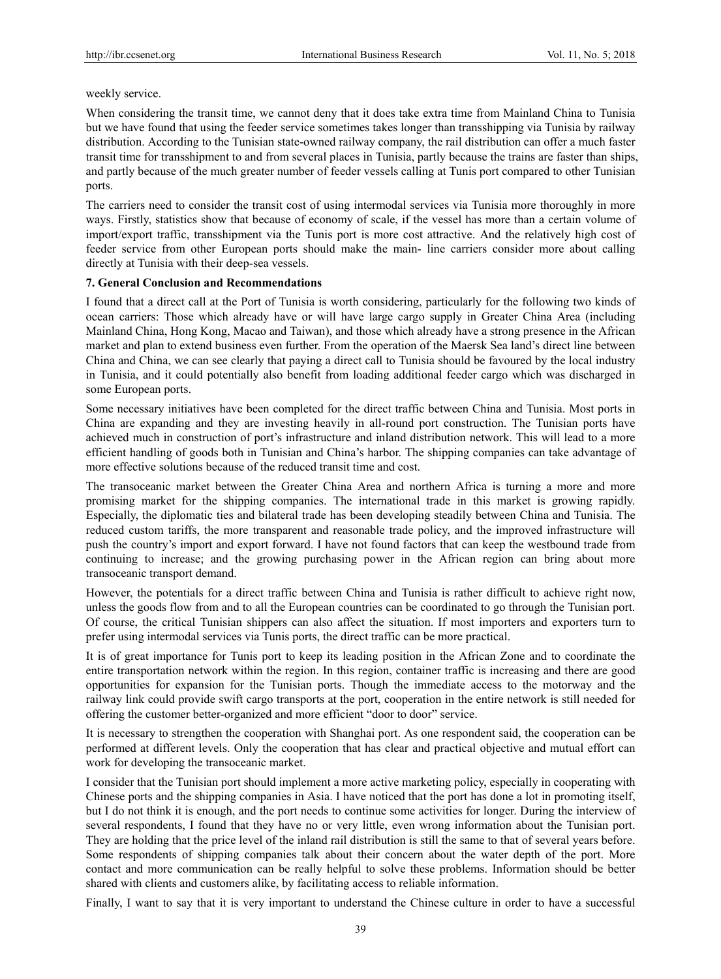## weekly service.

When considering the transit time, we cannot deny that it does take extra time from Mainland China to Tunisia but we have found that using the feeder service sometimes takes longer than transshipping via Tunisia by railway distribution. According to the Tunisian state-owned railway company, the rail distribution can offer a much faster transit time for transshipment to and from several places in Tunisia, partly because the trains are faster than ships, and partly because of the much greater number of feeder vessels calling at Tunis port compared to other Tunisian ports.

The carriers need to consider the transit cost of using intermodal services via Tunisia more thoroughly in more ways. Firstly, statistics show that because of economy of scale, if the vessel has more than a certain volume of import/export traffic, transshipment via the Tunis port is more cost attractive. And the relatively high cost of feeder service from other European ports should make the main- line carriers consider more about calling directly at Tunisia with their deep-sea vessels.

## **7. General Conclusion and Recommendations**

I found that a direct call at the Port of Tunisia is worth considering, particularly for the following two kinds of ocean carriers: Those which already have or will have large cargo supply in Greater China Area (including Mainland China, Hong Kong, Macao and Taiwan), and those which already have a strong presence in the African market and plan to extend business even further. From the operation of the Maersk Sea land's direct line between China and China, we can see clearly that paying a direct call to Tunisia should be favoured by the local industry in Tunisia, and it could potentially also benefit from loading additional feeder cargo which was discharged in some European ports.

Some necessary initiatives have been completed for the direct traffic between China and Tunisia. Most ports in China are expanding and they are investing heavily in all-round port construction. The Tunisian ports have achieved much in construction of port's infrastructure and inland distribution network. This will lead to a more efficient handling of goods both in Tunisian and China's harbor. The shipping companies can take advantage of more effective solutions because of the reduced transit time and cost.

The transoceanic market between the Greater China Area and northern Africa is turning a more and more promising market for the shipping companies. The international trade in this market is growing rapidly. Especially, the diplomatic ties and bilateral trade has been developing steadily between China and Tunisia. The reduced custom tariffs, the more transparent and reasonable trade policy, and the improved infrastructure will push the country's import and export forward. I have not found factors that can keep the westbound trade from continuing to increase; and the growing purchasing power in the African region can bring about more transoceanic transport demand.

However, the potentials for a direct traffic between China and Tunisia is rather difficult to achieve right now, unless the goods flow from and to all the European countries can be coordinated to go through the Tunisian port. Of course, the critical Tunisian shippers can also affect the situation. If most importers and exporters turn to prefer using intermodal services via Tunis ports, the direct traffic can be more practical.

It is of great importance for Tunis port to keep its leading position in the African Zone and to coordinate the entire transportation network within the region. In this region, container traffic is increasing and there are good opportunities for expansion for the Tunisian ports. Though the immediate access to the motorway and the railway link could provide swift cargo transports at the port, cooperation in the entire network is still needed for offering the customer better-organized and more efficient "door to door" service.

It is necessary to strengthen the cooperation with Shanghai port. As one respondent said, the cooperation can be performed at different levels. Only the cooperation that has clear and practical objective and mutual effort can work for developing the transoceanic market.

I consider that the Tunisian port should implement a more active marketing policy, especially in cooperating with Chinese ports and the shipping companies in Asia. I have noticed that the port has done a lot in promoting itself, but I do not think it is enough, and the port needs to continue some activities for longer. During the interview of several respondents, I found that they have no or very little, even wrong information about the Tunisian port. They are holding that the price level of the inland rail distribution is still the same to that of several years before. Some respondents of shipping companies talk about their concern about the water depth of the port. More contact and more communication can be really helpful to solve these problems. Information should be better shared with clients and customers alike, by facilitating access to reliable information.

Finally, I want to say that it is very important to understand the Chinese culture in order to have a successful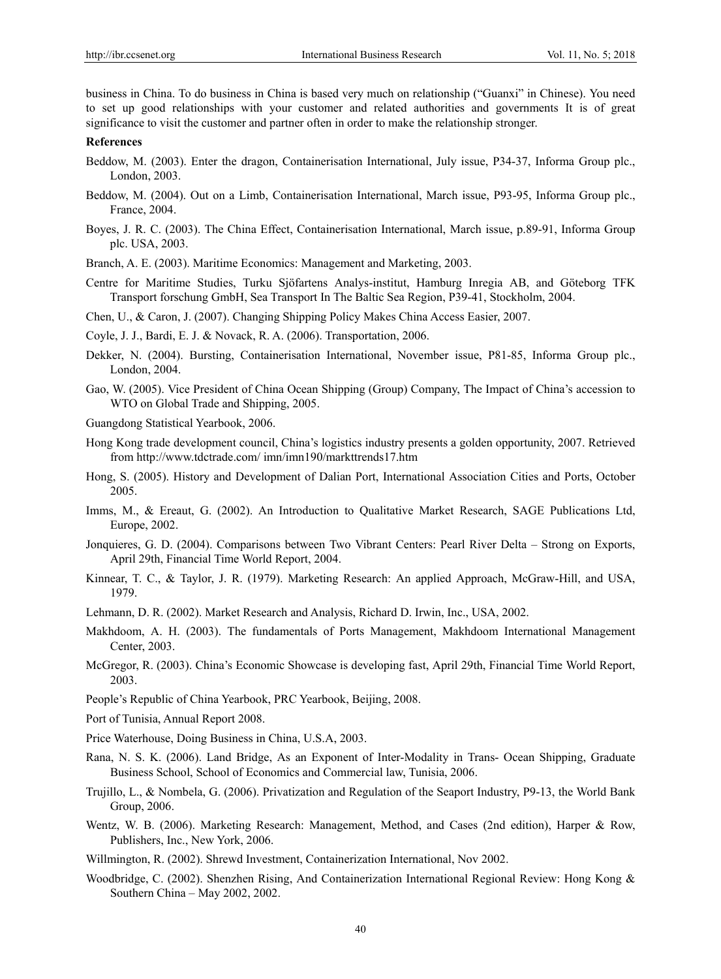business in China. To do business in China is based very much on relationship ("Guanxi" in Chinese). You need to set up good relationships with your customer and related authorities and governments It is of great significance to visit the customer and partner often in order to make the relationship stronger.

## **References**

- Beddow, M. (2003). Enter the dragon, Containerisation International, July issue, P34-37, Informa Group plc., London, 2003.
- Beddow, M. (2004). Out on a Limb, Containerisation International, March issue, P93-95, Informa Group plc., France, 2004.
- Boyes, J. R. C. (2003). The China Effect, Containerisation International, March issue, p.89-91, Informa Group plc. USA, 2003.
- Branch, A. E. (2003). Maritime Economics: Management and Marketing, 2003.
- Centre for Maritime Studies, Turku Sjöfartens Analys-institut, Hamburg Inregia AB, and Göteborg TFK Transport forschung GmbH, Sea Transport In The Baltic Sea Region, P39-41, Stockholm, 2004.
- Chen, U., & Caron, J. (2007). Changing Shipping Policy Makes China Access Easier, 2007.
- Coyle, J. J., Bardi, E. J. & Novack, R. A. (2006). Transportation, 2006.
- Dekker, N. (2004). Bursting, Containerisation International, November issue, P81-85, Informa Group plc., London, 2004.
- Gao, W. (2005). Vice President of China Ocean Shipping (Group) Company, The Impact of China's accession to WTO on Global Trade and Shipping, 2005.
- Guangdong Statistical Yearbook, 2006.
- Hong Kong trade development council, China's logistics industry presents a golden opportunity, 2007. Retrieved from http://www.tdctrade.com/ imn/imn190/markttrends17.htm
- Hong, S. (2005). History and Development of Dalian Port, International Association Cities and Ports, October 2005.
- Imms, M., & Ereaut, G. (2002). An Introduction to Qualitative Market Research, SAGE Publications Ltd, Europe, 2002.
- Jonquieres, G. D. (2004). Comparisons between Two Vibrant Centers: Pearl River Delta Strong on Exports, April 29th, Financial Time World Report, 2004.
- Kinnear, T. C., & Taylor, J. R. (1979). Marketing Research: An applied Approach, McGraw-Hill, and USA, 1979.
- Lehmann, D. R. (2002). Market Research and Analysis, Richard D. Irwin, Inc., USA, 2002.
- Makhdoom, A. H. (2003). The fundamentals of Ports Management, Makhdoom International Management Center, 2003.
- McGregor, R. (2003). China's Economic Showcase is developing fast, April 29th, Financial Time World Report, 2003.
- People's Republic of China Yearbook, PRC Yearbook, Beijing, 2008.
- Port of Tunisia, Annual Report 2008.
- Price Waterhouse, Doing Business in China, U.S.A, 2003.
- Rana, N. S. K. (2006). Land Bridge, As an Exponent of Inter-Modality in Trans- Ocean Shipping, Graduate Business School, School of Economics and Commercial law, Tunisia, 2006.
- Trujillo, L., & Nombela, G. (2006). Privatization and Regulation of the Seaport Industry, P9-13, the World Bank Group, 2006.
- Wentz, W. B. (2006). Marketing Research: Management, Method, and Cases (2nd edition), Harper & Row, Publishers, Inc., New York, 2006.
- Willmington, R. (2002). Shrewd Investment, Containerization International, Nov 2002.
- Woodbridge, C. (2002). Shenzhen Rising, And Containerization International Regional Review: Hong Kong & Southern China – May 2002, 2002.